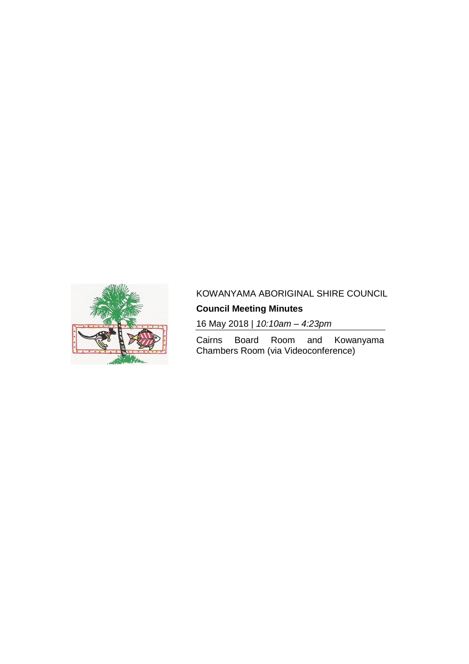

# KOWANYAMA ABORIGINAL SHIRE COUNCIL

# **Council Meeting Minutes**

16 May 2018 | *10:10am – 4:23pm*

Cairns Board Room and Kowanyama Chambers Room (via Videoconference)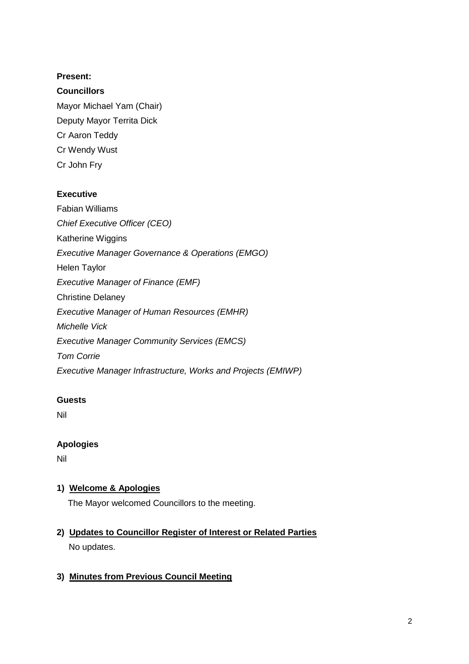### **Present:**

### **Councillors**

Mayor Michael Yam (Chair) Deputy Mayor Territa Dick Cr Aaron Teddy Cr Wendy Wust Cr John Fry

### **Executive**

Fabian Williams *Chief Executive Officer (CEO)* Katherine Wiggins *Executive Manager Governance & Operations (EMGO)* Helen Taylor *Executive Manager of Finance (EMF)* Christine Delaney *Executive Manager of Human Resources (EMHR) Michelle Vick Executive Manager Community Services (EMCS) Tom Corrie Executive Manager Infrastructure, Works and Projects (EMIWP)*

### **Guests**

Nil

### **Apologies**

Nil

### **1) Welcome & Apologies**

The Mayor welcomed Councillors to the meeting.

# **2) Updates to Councillor Register of Interest or Related Parties**

No updates.

### **3) Minutes from Previous Council Meeting**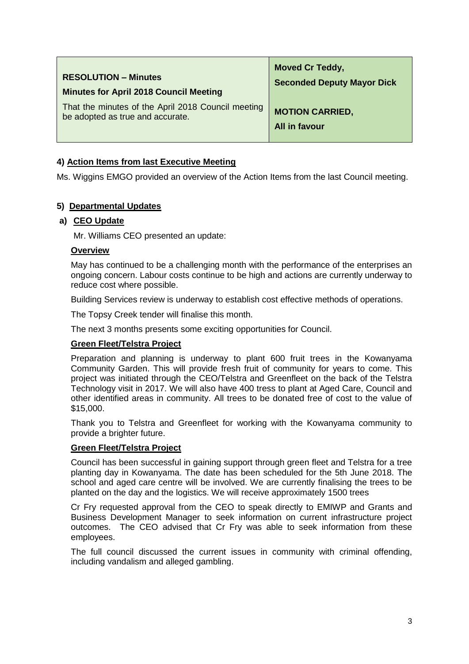| <b>RESOLUTION - Minutes</b>                        | <b>Moved Cr Teddy,</b>            |
|----------------------------------------------------|-----------------------------------|
| <b>Minutes for April 2018 Council Meeting</b>      | <b>Seconded Deputy Mayor Dick</b> |
| That the minutes of the April 2018 Council meeting | <b>MOTION CARRIED,</b>            |
| be adopted as true and accurate.                   | All in favour                     |

### **4) Action Items from last Executive Meeting**

Ms. Wiggins EMGO provided an overview of the Action Items from the last Council meeting.

### **5) Departmental Updates**

### **a) CEO Update**

Mr. Williams CEO presented an update:

#### **Overview**

May has continued to be a challenging month with the performance of the enterprises an ongoing concern. Labour costs continue to be high and actions are currently underway to reduce cost where possible.

Building Services review is underway to establish cost effective methods of operations.

The Topsy Creek tender will finalise this month.

The next 3 months presents some exciting opportunities for Council.

#### **Green Fleet/Telstra Project**

Preparation and planning is underway to plant 600 fruit trees in the Kowanyama Community Garden. This will provide fresh fruit of community for years to come. This project was initiated through the CEO/Telstra and Greenfleet on the back of the Telstra Technology visit in 2017. We will also have 400 tress to plant at Aged Care, Council and other identified areas in community. All trees to be donated free of cost to the value of \$15,000.

Thank you to Telstra and Greenfleet for working with the Kowanyama community to provide a brighter future.

#### **Green Fleet/Telstra Project**

Council has been successful in gaining support through green fleet and Telstra for a tree planting day in Kowanyama. The date has been scheduled for the 5th June 2018. The school and aged care centre will be involved. We are currently finalising the trees to be planted on the day and the logistics. We will receive approximately 1500 trees

Cr Fry requested approval from the CEO to speak directly to EMIWP and Grants and Business Development Manager to seek information on current infrastructure project outcomes. The CEO advised that Cr Fry was able to seek information from these employees.

The full council discussed the current issues in community with criminal offending, including vandalism and alleged gambling.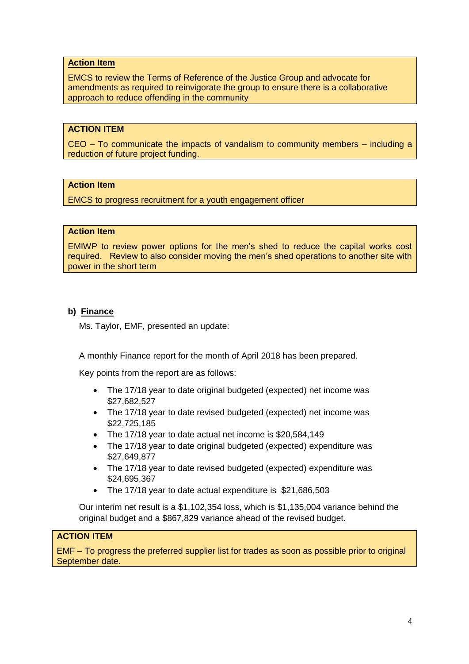### **Action Item**

EMCS to review the Terms of Reference of the Justice Group and advocate for amendments as required to reinvigorate the group to ensure there is a collaborative approach to reduce offending in the community

### **ACTION ITEM**

CEO – To communicate the impacts of vandalism to community members – including a reduction of future project funding.

### **Action Item**

EMCS to progress recruitment for a youth engagement officer

### **Action Item**

EMIWP to review power options for the men's shed to reduce the capital works cost required. Review to also consider moving the men's shed operations to another site with power in the short term

### **b) Finance**

Ms. Taylor, EMF, presented an update:

A monthly Finance report for the month of April 2018 has been prepared.

Key points from the report are as follows:

- The 17/18 year to date original budgeted (expected) net income was \$27,682,527
- The 17/18 year to date revised budgeted (expected) net income was \$22,725,185
- The 17/18 year to date actual net income is \$20,584,149
- The 17/18 year to date original budgeted (expected) expenditure was \$27,649,877
- The 17/18 year to date revised budgeted (expected) expenditure was \$24,695,367
- The 17/18 year to date actual expenditure is \$21,686,503

Our interim net result is a \$1,102,354 loss, which is \$1,135,004 variance behind the original budget and a \$867,829 variance ahead of the revised budget.

### **ACTION ITEM**

EMF – To progress the preferred supplier list for trades as soon as possible prior to original September date.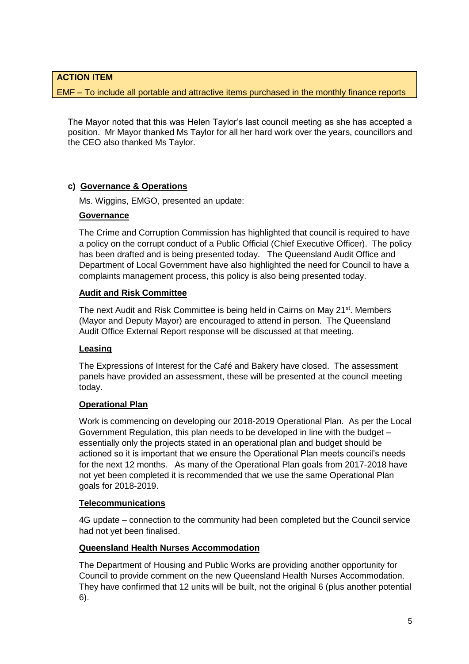### **ACTION ITEM**

EMF – To include all portable and attractive items purchased in the monthly finance reports

The Mayor noted that this was Helen Taylor's last council meeting as she has accepted a position. Mr Mayor thanked Ms Taylor for all her hard work over the years, councillors and the CEO also thanked Ms Taylor.

### **c) Governance & Operations**

Ms. Wiggins, EMGO, presented an update:

### **Governance**

The Crime and Corruption Commission has highlighted that council is required to have a policy on the corrupt conduct of a Public Official (Chief Executive Officer). The policy has been drafted and is being presented today. The Queensland Audit Office and Department of Local Government have also highlighted the need for Council to have a complaints management process, this policy is also being presented today.

### **Audit and Risk Committee**

The next Audit and Risk Committee is being held in Cairns on May 21<sup>st</sup>. Members (Mayor and Deputy Mayor) are encouraged to attend in person. The Queensland Audit Office External Report response will be discussed at that meeting.

### **Leasing**

The Expressions of Interest for the Café and Bakery have closed. The assessment panels have provided an assessment, these will be presented at the council meeting today.

### **Operational Plan**

Work is commencing on developing our 2018-2019 Operational Plan. As per the Local Government Regulation, this plan needs to be developed in line with the budget – essentially only the projects stated in an operational plan and budget should be actioned so it is important that we ensure the Operational Plan meets council's needs for the next 12 months. As many of the Operational Plan goals from 2017-2018 have not yet been completed it is recommended that we use the same Operational Plan goals for 2018-2019.

#### **Telecommunications**

4G update – connection to the community had been completed but the Council service had not yet been finalised.

#### **Queensland Health Nurses Accommodation**

The Department of Housing and Public Works are providing another opportunity for Council to provide comment on the new Queensland Health Nurses Accommodation. They have confirmed that 12 units will be built, not the original 6 (plus another potential 6).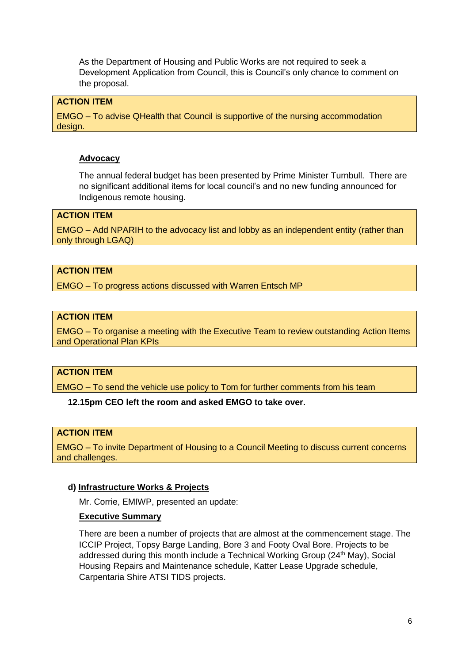As the Department of Housing and Public Works are not required to seek a Development Application from Council, this is Council's only chance to comment on the proposal.

### **ACTION ITEM**

EMGO – To advise QHealth that Council is supportive of the nursing accommodation design.

#### **Advocacy**

The annual federal budget has been presented by Prime Minister Turnbull. There are no significant additional items for local council's and no new funding announced for Indigenous remote housing.

### **ACTION ITEM**

EMGO – Add NPARIH to the advocacy list and lobby as an independent entity (rather than only through LGAQ)

### **ACTION ITEM**

EMGO – To progress actions discussed with Warren Entsch MP

### **ACTION ITEM**

EMGO – To organise a meeting with the Executive Team to review outstanding Action Items and Operational Plan KPIs

### **ACTION ITEM**

EMGO – To send the vehicle use policy to Tom for further comments from his team

#### **12.15pm CEO left the room and asked EMGO to take over.**

### **ACTION ITEM**

EMGO – To invite Department of Housing to a Council Meeting to discuss current concerns and challenges.

### **d) Infrastructure Works & Projects**

Mr. Corrie, EMIWP, presented an update:

### **Executive Summary**

There are been a number of projects that are almost at the commencement stage. The ICCIP Project, Topsy Barge Landing, Bore 3 and Footy Oval Bore. Projects to be addressed during this month include a Technical Working Group (24<sup>th</sup> May), Social Housing Repairs and Maintenance schedule, Katter Lease Upgrade schedule, Carpentaria Shire ATSI TIDS projects.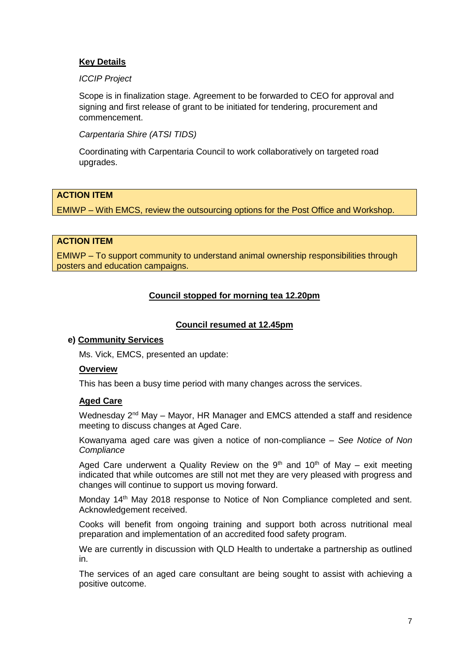### **Key Details**

### *ICCIP Project*

Scope is in finalization stage. Agreement to be forwarded to CEO for approval and signing and first release of grant to be initiated for tendering, procurement and commencement.

### *Carpentaria Shire (ATSI TIDS)*

Coordinating with Carpentaria Council to work collaboratively on targeted road upgrades.

### **ACTION ITEM**

EMIWP – With EMCS, review the outsourcing options for the Post Office and Workshop.

### **ACTION ITEM**

EMIWP – To support community to understand animal ownership responsibilities through posters and education campaigns.

### **Council stopped for morning tea 12.20pm**

#### **Council resumed at 12.45pm**

#### **e) Community Services**

Ms. Vick, EMCS, presented an update:

#### **Overview**

This has been a busy time period with many changes across the services.

#### **Aged Care**

Wednesday 2<sup>nd</sup> May – Mayor, HR Manager and EMCS attended a staff and residence meeting to discuss changes at Aged Care.

Kowanyama aged care was given a notice of non-compliance – *See Notice of Non Compliance*

Aged Care underwent a Quality Review on the  $9<sup>th</sup>$  and  $10<sup>th</sup>$  of May – exit meeting indicated that while outcomes are still not met they are very pleased with progress and changes will continue to support us moving forward.

Monday 14th May 2018 response to Notice of Non Compliance completed and sent. Acknowledgement received.

Cooks will benefit from ongoing training and support both across nutritional meal preparation and implementation of an accredited food safety program.

We are currently in discussion with QLD Health to undertake a partnership as outlined in.

The services of an aged care consultant are being sought to assist with achieving a positive outcome.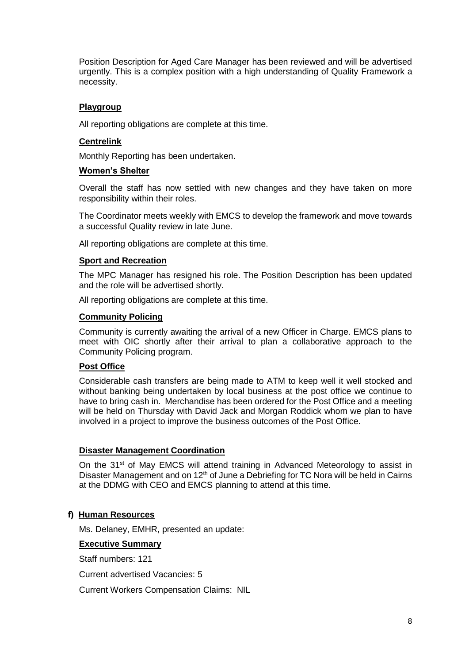Position Description for Aged Care Manager has been reviewed and will be advertised urgently. This is a complex position with a high understanding of Quality Framework a necessity.

### **Playgroup**

All reporting obligations are complete at this time.

### **Centrelink**

Monthly Reporting has been undertaken.

### **Women's Shelter**

Overall the staff has now settled with new changes and they have taken on more responsibility within their roles.

The Coordinator meets weekly with EMCS to develop the framework and move towards a successful Quality review in late June.

All reporting obligations are complete at this time.

### **Sport and Recreation**

The MPC Manager has resigned his role. The Position Description has been updated and the role will be advertised shortly.

All reporting obligations are complete at this time.

### **Community Policing**

Community is currently awaiting the arrival of a new Officer in Charge. EMCS plans to meet with OIC shortly after their arrival to plan a collaborative approach to the Community Policing program.

#### **Post Office**

Considerable cash transfers are being made to ATM to keep well it well stocked and without banking being undertaken by local business at the post office we continue to have to bring cash in. Merchandise has been ordered for the Post Office and a meeting will be held on Thursday with David Jack and Morgan Roddick whom we plan to have involved in a project to improve the business outcomes of the Post Office.

#### **Disaster Management Coordination**

On the 31<sup>st</sup> of May EMCS will attend training in Advanced Meteorology to assist in Disaster Management and on 12<sup>th</sup> of June a Debriefing for TC Nora will be held in Cairns at the DDMG with CEO and EMCS planning to attend at this time.

### **f) Human Resources**

Ms. Delaney, EMHR, presented an update:

#### **Executive Summary**

Staff numbers: 121

Current advertised Vacancies: 5

Current Workers Compensation Claims: NIL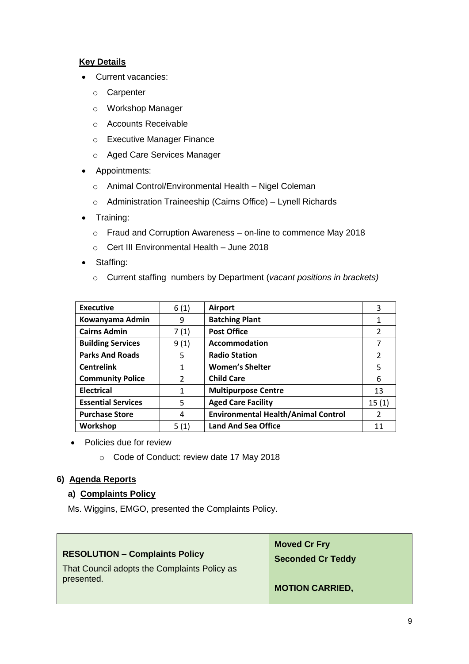### **Key Details**

- Current vacancies:
	- o Carpenter
	- o Workshop Manager
	- o Accounts Receivable
	- o Executive Manager Finance
	- o Aged Care Services Manager
- Appointments:
	- o Animal Control/Environmental Health Nigel Coleman
	- o Administration Traineeship (Cairns Office) Lynell Richards
- Training:
	- o Fraud and Corruption Awareness on-line to commence May 2018
	- o Cert III Environmental Health June 2018
- Staffing:
	- o Current staffing numbers by Department (*vacant positions in brackets)*

| <b>Executive</b>          | 6(1) | <b>Airport</b>                             | 3              |
|---------------------------|------|--------------------------------------------|----------------|
| Kowanyama Admin           | 9    | <b>Batching Plant</b>                      | 1              |
| <b>Cairns Admin</b>       | 7(1) | <b>Post Office</b>                         | 2              |
| <b>Building Services</b>  | 9(1) | Accommodation                              | 7              |
| <b>Parks And Roads</b>    | 5    | <b>Radio Station</b>                       | $\overline{2}$ |
| <b>Centrelink</b>         | 1    | <b>Women's Shelter</b>                     | 5              |
| <b>Community Police</b>   | 2    | <b>Child Care</b>                          | 6              |
| <b>Electrical</b>         | 1    | <b>Multipurpose Centre</b>                 | 13             |
| <b>Essential Services</b> | 5    | <b>Aged Care Facility</b>                  | 15(1)          |
| <b>Purchase Store</b>     | 4    | <b>Environmental Health/Animal Control</b> | $\overline{2}$ |
| Workshop                  | 5(1) | <b>Land And Sea Office</b>                 | 11             |

- Policies due for review
	- o Code of Conduct: review date 17 May 2018

### **6) Agenda Reports**

### **a) Complaints Policy**

Ms. Wiggins, EMGO, presented the Complaints Policy.

| <b>RESOLUTION - Complaints Policy</b><br>That Council adopts the Complaints Policy as<br>presented. | <b>Moved Cr Fry</b><br><b>Seconded Cr Teddy</b> |
|-----------------------------------------------------------------------------------------------------|-------------------------------------------------|
|                                                                                                     | <b>MOTION CARRIED,</b>                          |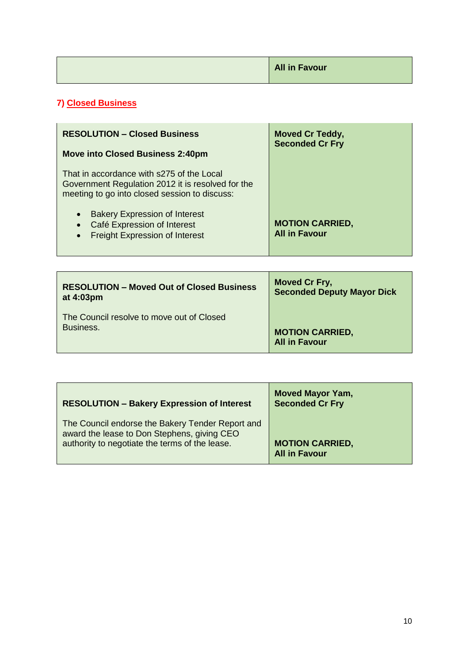| <b>All in Favour</b> |
|----------------------|
|                      |

# **7) Closed Business**

| <b>RESOLUTION - Closed Business</b>                                                                                                                 | <b>Moved Cr Teddy,</b><br><b>Seconded Cr Fry</b> |
|-----------------------------------------------------------------------------------------------------------------------------------------------------|--------------------------------------------------|
| <b>Move into Closed Business 2:40pm</b>                                                                                                             |                                                  |
| That in accordance with s275 of the Local<br>Government Regulation 2012 it is resolved for the<br>meeting to go into closed session to discuss:     |                                                  |
| <b>Bakery Expression of Interest</b><br>$\bullet$<br>Café Expression of Interest<br>$\bullet$<br><b>Freight Expression of Interest</b><br>$\bullet$ | <b>MOTION CARRIED,</b><br><b>All in Favour</b>   |

| <b>RESOLUTION - Moved Out of Closed Business</b> | <b>Moved Cr Fry,</b>              |
|--------------------------------------------------|-----------------------------------|
| at 4:03pm                                        | <b>Seconded Deputy Mayor Dick</b> |
| The Council resolve to move out of Closed        | <b>MOTION CARRIED,</b>            |
| Business.                                        | <b>All in Favour</b>              |

| <b>RESOLUTION - Bakery Expression of Interest</b>                                                                                                 | <b>Moved Mayor Yam,</b><br><b>Seconded Cr Fry</b> |
|---------------------------------------------------------------------------------------------------------------------------------------------------|---------------------------------------------------|
| The Council endorse the Bakery Tender Report and<br>award the lease to Don Stephens, giving CEO<br>authority to negotiate the terms of the lease. | <b>MOTION CARRIED,</b><br><b>All in Favour</b>    |